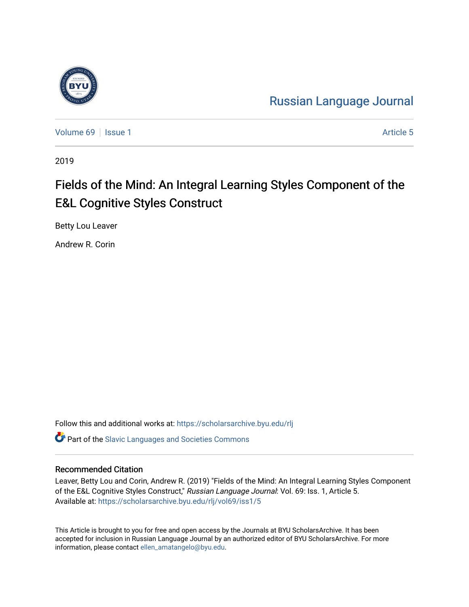

[Russian Language Journal](https://scholarsarchive.byu.edu/rlj) 

[Volume 69](https://scholarsarchive.byu.edu/rlj/vol69) | [Issue 1](https://scholarsarchive.byu.edu/rlj/vol69/iss1) Article 5

2019

# Fields of the Mind: An Integral Learning Styles Component of the E&L Cognitive Styles Construct

Betty Lou Leaver

Andrew R. Corin

Follow this and additional works at: [https://scholarsarchive.byu.edu/rlj](https://scholarsarchive.byu.edu/rlj?utm_source=scholarsarchive.byu.edu%2Frlj%2Fvol69%2Fiss1%2F5&utm_medium=PDF&utm_campaign=PDFCoverPages)

**C** Part of the Slavic Languages and Societies Commons

#### Recommended Citation

Leaver, Betty Lou and Corin, Andrew R. (2019) "Fields of the Mind: An Integral Learning Styles Component of the E&L Cognitive Styles Construct," Russian Language Journal: Vol. 69: Iss. 1, Article 5. Available at: [https://scholarsarchive.byu.edu/rlj/vol69/iss1/5](https://scholarsarchive.byu.edu/rlj/vol69/iss1/5?utm_source=scholarsarchive.byu.edu%2Frlj%2Fvol69%2Fiss1%2F5&utm_medium=PDF&utm_campaign=PDFCoverPages) 

This Article is brought to you for free and open access by the Journals at BYU ScholarsArchive. It has been accepted for inclusion in Russian Language Journal by an authorized editor of BYU ScholarsArchive. For more information, please contact [ellen\\_amatangelo@byu.edu.](mailto:ellen_amatangelo@byu.edu)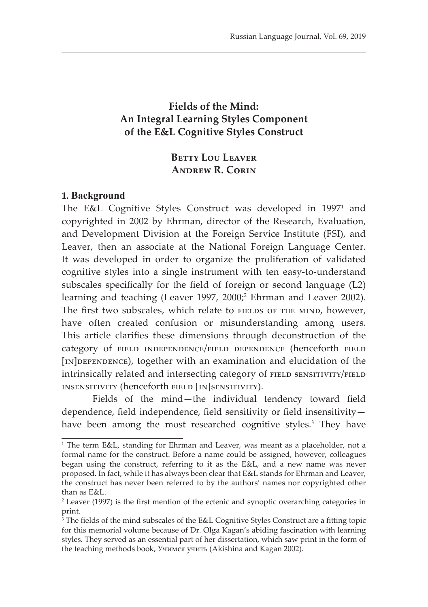# **Fields of the Mind: An Integral Learning Styles Component of the E&L Cognitive Styles Construct**

# **Betty Lou Leaver Andrew R. Corin**

#### **1. Background**

The E&L Cognitive Styles Construct was developed in 1997<sup>1</sup> and copyrighted in 2002 by Ehrman, director of the Research, Evaluation, and Development Division at the Foreign Service Institute (FSI), and Leaver, then an associate at the National Foreign Language Center. It was developed in order to organize the proliferation of validated cognitive styles into a single instrument with ten easy-to-understand subscales specifically for the field of foreign or second language (L2) learning and teaching (Leaver 1997, 2000;<sup>2</sup> Ehrman and Leaver 2002). The first two subscales, which relate to FIELDS OF THE MIND, however, have often created confusion or misunderstanding among users. This article clarifies these dimensions through deconstruction of the category of field independence/field dependence (henceforth field [IN]DEPENDENCE), together with an examination and elucidation of the intrinsically related and intersecting category of FIELD SENSITIVITY/FIELD insensitivity (henceforth field [in]sensitivity).

Fields of the mind—the individual tendency toward field dependence, field independence, field sensitivity or field insensitivity have been among the most researched cognitive styles.<sup>3</sup> They have

<sup>1</sup> The term E&L, standing for Ehrman and Leaver, was meant as a placeholder, not a formal name for the construct. Before a name could be assigned, however, colleagues began using the construct, referring to it as the E&L, and a new name was never proposed. In fact, while it has always been clear that E&L stands for Ehrman and Leaver, the construct has never been referred to by the authors' names nor copyrighted other than as E&L.

<sup>2</sup> Leaver (1997) is the first mention of the ectenic and synoptic overarching categories in print.

<sup>&</sup>lt;sup>3</sup> The fields of the mind subscales of the E&L Cognitive Styles Construct are a fitting topic for this memorial volume because of Dr. Olga Kagan's abiding fascination with learning styles. They served as an essential part of her dissertation, which saw print in the form of the teaching methods book, Учимся учить (Akishina and Kagan 2002).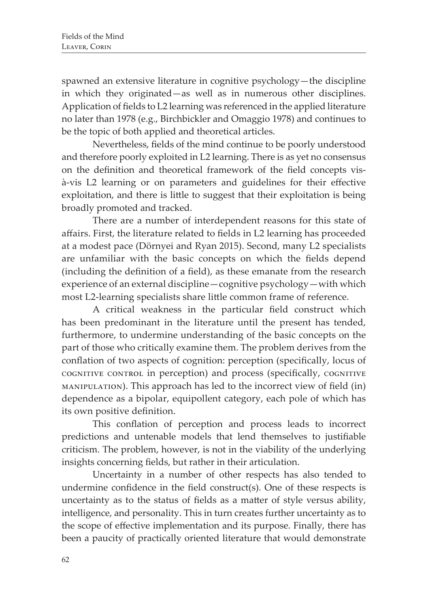spawned an extensive literature in cognitive psychology—the discipline in which they originated—as well as in numerous other disciplines. Application of fields to L2 learning was referenced in the applied literature no later than 1978 (e.g., Birchbickler and Omaggio 1978) and continues to be the topic of both applied and theoretical articles.

Nevertheless, fields of the mind continue to be poorly understood and therefore poorly exploited in L2 learning. There is as yet no consensus on the definition and theoretical framework of the field concepts visà-vis L2 learning or on parameters and guidelines for their effective exploitation, and there is little to suggest that their exploitation is being broadly promoted and tracked.

There are a number of interdependent reasons for this state of affairs. First, the literature related to fields in L2 learning has proceeded at a modest pace (Dörnyei and Ryan 2015). Second, many L2 specialists are unfamiliar with the basic concepts on which the fields depend (including the definition of a field), as these emanate from the research experience of an external discipline—cognitive psychology—with which most L2-learning specialists share little common frame of reference.

A critical weakness in the particular field construct which has been predominant in the literature until the present has tended, furthermore, to undermine understanding of the basic concepts on the part of those who critically examine them. The problem derives from the conflation of two aspects of cognition: perception (specifically, locus of cognitive control in perception) and process (specifically, cognitive manipulation). This approach has led to the incorrect view of field (in) dependence as a bipolar, equipollent category, each pole of which has its own positive definition.

This conflation of perception and process leads to incorrect predictions and untenable models that lend themselves to justifiable criticism. The problem, however, is not in the viability of the underlying insights concerning fields, but rather in their articulation.

Uncertainty in a number of other respects has also tended to undermine confidence in the field construct(s). One of these respects is uncertainty as to the status of fields as a matter of style versus ability, intelligence, and personality. This in turn creates further uncertainty as to the scope of effective implementation and its purpose. Finally, there has been a paucity of practically oriented literature that would demonstrate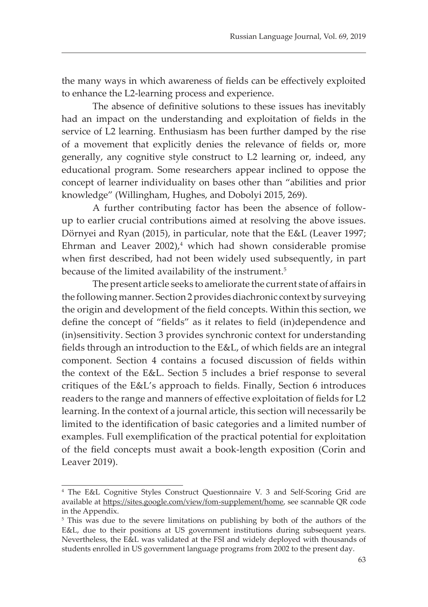the many ways in which awareness of fields can be effectively exploited to enhance the L2-learning process and experience.

The absence of definitive solutions to these issues has inevitably had an impact on the understanding and exploitation of fields in the service of L2 learning. Enthusiasm has been further damped by the rise of a movement that explicitly denies the relevance of fields or, more generally, any cognitive style construct to L2 learning or, indeed, any educational program. Some researchers appear inclined to oppose the concept of learner individuality on bases other than "abilities and prior knowledge" (Willingham, Hughes, and Dobolyi 2015, 269).

A further contributing factor has been the absence of followup to earlier crucial contributions aimed at resolving the above issues. Dörnyei and Ryan (2015), in particular, note that the E&L (Leaver 1997; Ehrman and Leaver  $2002$ ,<sup>4</sup> which had shown considerable promise when first described, had not been widely used subsequently, in part because of the limited availability of the instrument.<sup>5</sup>

The present article seeks to ameliorate the current state of affairs in the following manner. Section 2 provides diachronic context by surveying the origin and development of the field concepts. Within this section, we define the concept of "fields" as it relates to field (in)dependence and (in)sensitivity. Section 3 provides synchronic context for understanding fields through an introduction to the E&L, of which fields are an integral component. Section 4 contains a focused discussion of fields within the context of the E&L. Section 5 includes a brief response to several critiques of the E&L's approach to fields. Finally, Section 6 introduces readers to the range and manners of effective exploitation of fields for L2 learning. In the context of a journal article, this section will necessarily be limited to the identification of basic categories and a limited number of examples. Full exemplification of the practical potential for exploitation of the field concepts must await a book-length exposition (Corin and Leaver 2019).

<sup>4</sup> The E&L Cognitive Styles Construct Questionnaire V. 3 and Self-Scoring Grid are available at https://sites.google.com/view/fom-supplement/home, see scannable QR code in the Appendix.

<sup>&</sup>lt;sup>5</sup> This was due to the severe limitations on publishing by both of the authors of the E&L, due to their positions at US government institutions during subsequent years. Nevertheless, the E&L was validated at the FSI and widely deployed with thousands of students enrolled in US government language programs from 2002 to the present day.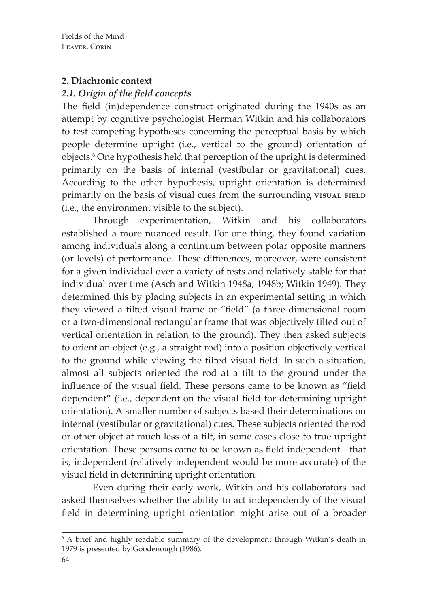# **2. Diachronic context**

# *2.1. Origin of the field concepts*

The field (in)dependence construct originated during the 1940s as an attempt by cognitive psychologist Herman Witkin and his collaborators to test competing hypotheses concerning the perceptual basis by which people determine upright (i.e., vertical to the ground) orientation of objects.6 One hypothesis held that perception of the upright is determined primarily on the basis of internal (vestibular or gravitational) cues. According to the other hypothesis, upright orientation is determined primarily on the basis of visual cues from the surrounding visual FIELD (i.e., the environment visible to the subject).

Through experimentation, Witkin and his collaborators established a more nuanced result. For one thing, they found variation among individuals along a continuum between polar opposite manners (or levels) of performance. These differences, moreover, were consistent for a given individual over a variety of tests and relatively stable for that individual over time (Asch and Witkin 1948a, 1948b; Witkin 1949). They determined this by placing subjects in an experimental setting in which they viewed a tilted visual frame or "field" (a three-dimensional room or a two-dimensional rectangular frame that was objectively tilted out of vertical orientation in relation to the ground). They then asked subjects to orient an object (e.g., a straight rod) into a position objectively vertical to the ground while viewing the tilted visual field. In such a situation, almost all subjects oriented the rod at a tilt to the ground under the influence of the visual field. These persons came to be known as "field dependent" (i.e., dependent on the visual field for determining upright orientation). A smaller number of subjects based their determinations on internal (vestibular or gravitational) cues. These subjects oriented the rod or other object at much less of a tilt, in some cases close to true upright orientation. These persons came to be known as field independent—that is, independent (relatively independent would be more accurate) of the visual field in determining upright orientation.

Even during their early work, Witkin and his collaborators had asked themselves whether the ability to act independently of the visual field in determining upright orientation might arise out of a broader

<sup>6</sup> A brief and highly readable summary of the development through Witkin's death in 1979 is presented by Goodenough (1986).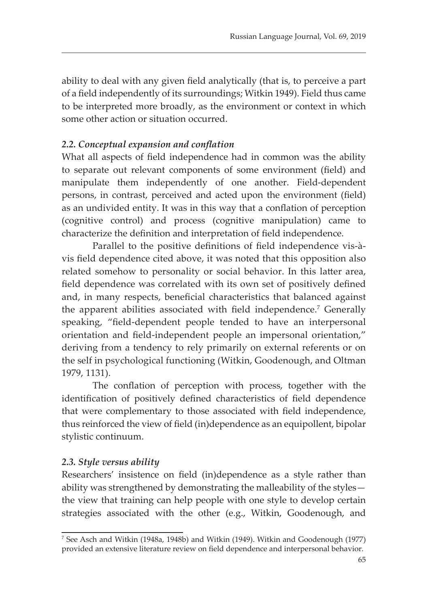ability to deal with any given field analytically (that is, to perceive a part of a field independently of its surroundings; Witkin 1949). Field thus came to be interpreted more broadly, as the environment or context in which some other action or situation occurred.

#### *2.2. Conceptual expansion and conflation*

What all aspects of field independence had in common was the ability to separate out relevant components of some environment (field) and manipulate them independently of one another. Field-dependent persons, in contrast, perceived and acted upon the environment (field) as an undivided entity. It was in this way that a conflation of perception (cognitive control) and process (cognitive manipulation) came to characterize the definition and interpretation of field independence.

Parallel to the positive definitions of field independence vis-àvis field dependence cited above, it was noted that this opposition also related somehow to personality or social behavior. In this latter area, field dependence was correlated with its own set of positively defined and, in many respects, beneficial characteristics that balanced against the apparent abilities associated with field independence.<sup>7</sup> Generally speaking, "field-dependent people tended to have an interpersonal orientation and field-independent people an impersonal orientation," deriving from a tendency to rely primarily on external referents or on the self in psychological functioning (Witkin, Goodenough, and Oltman 1979, 1131).

The conflation of perception with process, together with the identification of positively defined characteristics of field dependence that were complementary to those associated with field independence, thus reinforced the view of field (in)dependence as an equipollent, bipolar stylistic continuum.

#### *2.3. Style versus ability*

Researchers' insistence on field (in)dependence as a style rather than ability was strengthened by demonstrating the malleability of the styles the view that training can help people with one style to develop certain strategies associated with the other (e.g., Witkin, Goodenough, and

<sup>7</sup> See Asch and Witkin (1948a, 1948b) and Witkin (1949). Witkin and Goodenough (1977) provided an extensive literature review on field dependence and interpersonal behavior.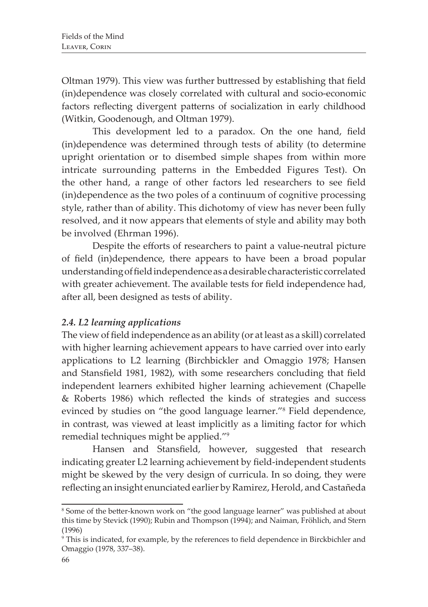Oltman 1979). This view was further buttressed by establishing that field (in)dependence was closely correlated with cultural and socio-economic factors reflecting divergent patterns of socialization in early childhood (Witkin, Goodenough, and Oltman 1979).

This development led to a paradox. On the one hand, field (in)dependence was determined through tests of ability (to determine upright orientation or to disembed simple shapes from within more intricate surrounding patterns in the Embedded Figures Test). On the other hand, a range of other factors led researchers to see field (in)dependence as the two poles of a continuum of cognitive processing style, rather than of ability. This dichotomy of view has never been fully resolved, and it now appears that elements of style and ability may both be involved (Ehrman 1996).

Despite the efforts of researchers to paint a value-neutral picture of field (in)dependence, there appears to have been a broad popular understanding of field independence as a desirable characteristic correlated with greater achievement. The available tests for field independence had, after all, been designed as tests of ability.

## *2.4. L2 learning applications*

The view of field independence as an ability (or at least as a skill) correlated with higher learning achievement appears to have carried over into early applications to L2 learning (Birchbickler and Omaggio 1978; Hansen and Stansfield 1981, 1982), with some researchers concluding that field independent learners exhibited higher learning achievement (Chapelle & Roberts 1986) which reflected the kinds of strategies and success evinced by studies on "the good language learner."<sup>8</sup> Field dependence, in contrast, was viewed at least implicitly as a limiting factor for which remedial techniques might be applied."<sup>9</sup>

Hansen and Stansfield, however, suggested that research indicating greater L2 learning achievement by field-independent students might be skewed by the very design of curricula. In so doing, they were reflecting an insight enunciated earlier by Ramirez, Herold, and Castañeda

<sup>8</sup> Some of the better-known work on "the good language learner" was published at about this time by Stevick (1990); Rubin and Thompson (1994); and Naiman, Fröhlich, and Stern (1996)

<sup>9</sup> This is indicated, for example, by the references to field dependence in Birckbichler and Omaggio (1978, 337–38).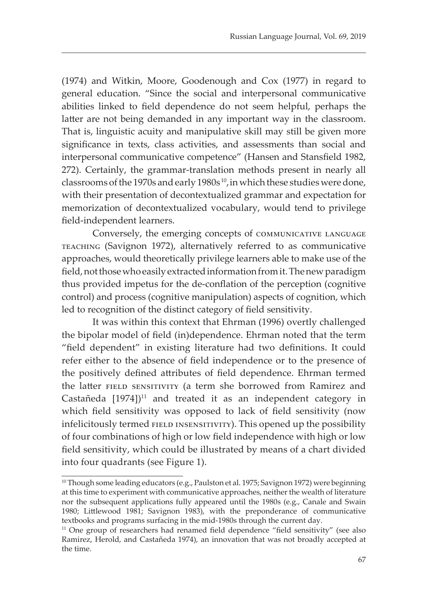(1974) and Witkin, Moore, Goodenough and Cox (1977) in regard to general education. "Since the social and interpersonal communicative abilities linked to field dependence do not seem helpful, perhaps the latter are not being demanded in any important way in the classroom. That is, linguistic acuity and manipulative skill may still be given more significance in texts, class activities, and assessments than social and interpersonal communicative competence" (Hansen and Stansfield 1982, 272). Certainly, the grammar-translation methods present in nearly all classrooms of the 1970s and early 1980s<sup>10</sup>, in which these studies were done, with their presentation of decontextualized grammar and expectation for memorization of decontextualized vocabulary, would tend to privilege field-independent learners.

Conversely, the emerging concepts of communicative language teaching (Savignon 1972), alternatively referred to as communicative approaches, would theoretically privilege learners able to make use of the field, not those who easily extracted information from it. The new paradigm thus provided impetus for the de-conflation of the perception (cognitive control) and process (cognitive manipulation) aspects of cognition, which led to recognition of the distinct category of field sensitivity.

It was within this context that Ehrman (1996) overtly challenged the bipolar model of field (in)dependence. Ehrman noted that the term "field dependent" in existing literature had two definitions. It could refer either to the absence of field independence or to the presence of the positively defined attributes of field dependence. Ehrman termed the latter FIELD SENSITIVITY (a term she borrowed from Ramirez and Castañeda  $[1974]$ <sup>11</sup> and treated it as an independent category in which field sensitivity was opposed to lack of field sensitivity (now infelicitously termed FIELD INSENSITIVITY). This opened up the possibility of four combinations of high or low field independence with high or low field sensitivity, which could be illustrated by means of a chart divided into four quadrants (see Figure 1).

<sup>&</sup>lt;sup>10</sup> Though some leading educators (e.g., Paulston et al. 1975; Savignon 1972) were beginning at this time to experiment with communicative approaches, neither the wealth of literature nor the subsequent applications fully appeared until the 1980s (e.g., Canale and Swain 1980; Littlewood 1981; Savignon 1983), with the preponderance of communicative textbooks and programs surfacing in the mid-1980s through the current day.

<sup>&</sup>lt;sup>11</sup> One group of researchers had renamed field dependence "field sensitivity" (see also Ramirez, Herold, and Castañeda 1974), an innovation that was not broadly accepted at the time.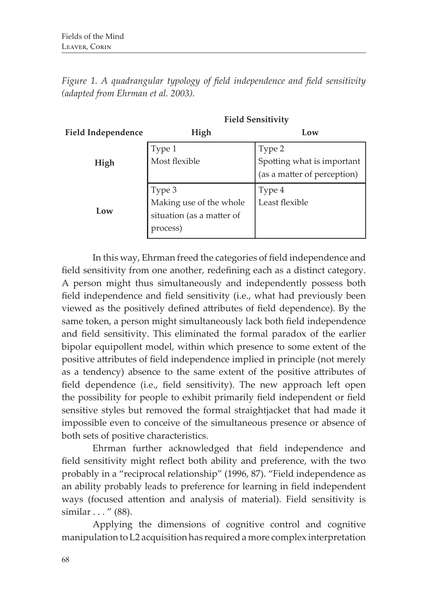|                           | <b>Field Sensitivity</b>                                                   |                                                                     |  |
|---------------------------|----------------------------------------------------------------------------|---------------------------------------------------------------------|--|
| <b>Field Independence</b> | High                                                                       | Low                                                                 |  |
| High                      | Type 1<br>Most flexible                                                    | Type 2<br>Spotting what is important<br>(as a matter of perception) |  |
| Low                       | Type 3<br>Making use of the whole<br>situation (as a matter of<br>process) | Type 4<br>Least flexible                                            |  |

*Figure 1. A quadrangular typology of field independence and field sensitivity (adapted from Ehrman et al. 2003).*

In this way, Ehrman freed the categories of field independence and field sensitivity from one another, redefining each as a distinct category. A person might thus simultaneously and independently possess both field independence and field sensitivity (i.e., what had previously been viewed as the positively defined attributes of field dependence). By the same token, a person might simultaneously lack both field independence and field sensitivity. This eliminated the formal paradox of the earlier bipolar equipollent model, within which presence to some extent of the positive attributes of field independence implied in principle (not merely as a tendency) absence to the same extent of the positive attributes of field dependence (i.e., field sensitivity). The new approach left open the possibility for people to exhibit primarily field independent or field sensitive styles but removed the formal straightjacket that had made it impossible even to conceive of the simultaneous presence or absence of both sets of positive characteristics.

Ehrman further acknowledged that field independence and field sensitivity might reflect both ability and preference, with the two probably in a "reciprocal relationship" (1996, 87). "Field independence as an ability probably leads to preference for learning in field independent ways (focused attention and analysis of material). Field sensitivity is similar . . . " (88).

Applying the dimensions of cognitive control and cognitive manipulation to L2 acquisition has required a more complex interpretation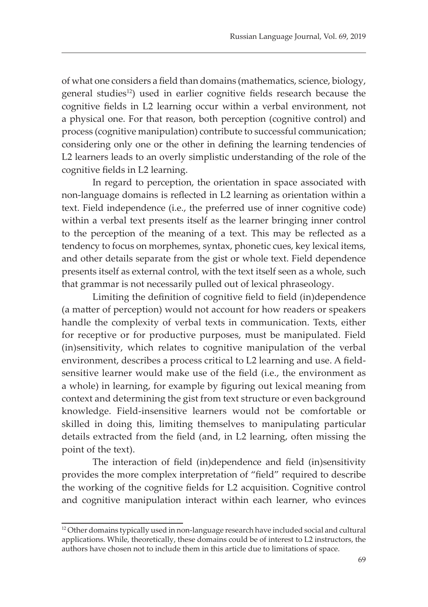of what one considers a field than domains (mathematics, science, biology, general studies<sup>12</sup>) used in earlier cognitive fields research because the cognitive fields in L2 learning occur within a verbal environment, not a physical one. For that reason, both perception (cognitive control) and process (cognitive manipulation) contribute to successful communication; considering only one or the other in defining the learning tendencies of L2 learners leads to an overly simplistic understanding of the role of the cognitive fields in L2 learning.

In regard to perception, the orientation in space associated with non-language domains is reflected in L2 learning as orientation within a text. Field independence (i.e., the preferred use of inner cognitive code) within a verbal text presents itself as the learner bringing inner control to the perception of the meaning of a text. This may be reflected as a tendency to focus on morphemes, syntax, phonetic cues, key lexical items, and other details separate from the gist or whole text. Field dependence presents itself as external control, with the text itself seen as a whole, such that grammar is not necessarily pulled out of lexical phraseology.

Limiting the definition of cognitive field to field (in)dependence (a matter of perception) would not account for how readers or speakers handle the complexity of verbal texts in communication. Texts, either for receptive or for productive purposes, must be manipulated. Field (in)sensitivity, which relates to cognitive manipulation of the verbal environment, describes a process critical to L2 learning and use. A fieldsensitive learner would make use of the field (i.e., the environment as a whole) in learning, for example by figuring out lexical meaning from context and determining the gist from text structure or even background knowledge. Field-insensitive learners would not be comfortable or skilled in doing this, limiting themselves to manipulating particular details extracted from the field (and, in L2 learning, often missing the point of the text).

The interaction of field (in)dependence and field (in)sensitivity provides the more complex interpretation of "field" required to describe the working of the cognitive fields for L2 acquisition. Cognitive control and cognitive manipulation interact within each learner, who evinces

<sup>&</sup>lt;sup>12</sup> Other domains typically used in non-language research have included social and cultural applications. While, theoretically, these domains could be of interest to L2 instructors, the authors have chosen not to include them in this article due to limitations of space.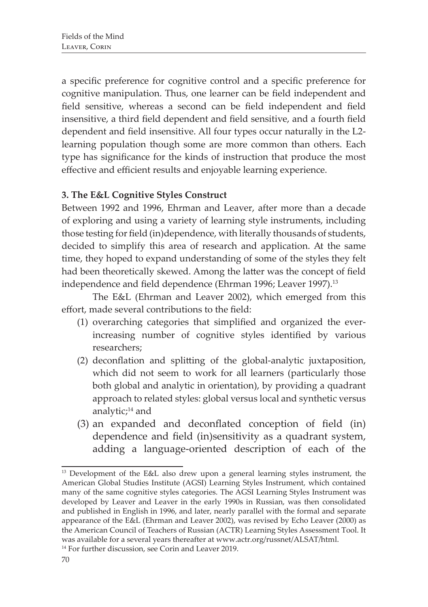a specific preference for cognitive control and a specific preference for cognitive manipulation. Thus, one learner can be field independent and field sensitive, whereas a second can be field independent and field insensitive, a third field dependent and field sensitive, and a fourth field dependent and field insensitive. All four types occur naturally in the L2 learning population though some are more common than others. Each type has significance for the kinds of instruction that produce the most effective and efficient results and enjoyable learning experience.

# **3. The E&L Cognitive Styles Construct**

Between 1992 and 1996, Ehrman and Leaver, after more than a decade of exploring and using a variety of learning style instruments, including those testing for field (in)dependence, with literally thousands of students, decided to simplify this area of research and application. At the same time, they hoped to expand understanding of some of the styles they felt had been theoretically skewed. Among the latter was the concept of field independence and field dependence (Ehrman 1996; Leaver 1997).<sup>13</sup>

The E&L (Ehrman and Leaver 2002), which emerged from this effort, made several contributions to the field:

- (1) overarching categories that simplified and organized the everincreasing number of cognitive styles identified by various researchers;
- (2) deconflation and splitting of the global-analytic juxtaposition, which did not seem to work for all learners (particularly those both global and analytic in orientation), by providing a quadrant approach to related styles: global versus local and synthetic versus analytic; $14$  and
- (3) an expanded and deconflated conception of field (in) dependence and field (in)sensitivity as a quadrant system, adding a language-oriented description of each of the

<sup>13</sup> Development of the E&L also drew upon a general learning styles instrument, the American Global Studies Institute (AGSI) Learning Styles Instrument, which contained many of the same cognitive styles categories. The AGSI Learning Styles Instrument was developed by Leaver and Leaver in the early 1990s in Russian, was then consolidated and published in English in 1996, and later, nearly parallel with the formal and separate appearance of the E&L (Ehrman and Leaver 2002), was revised by Echo Leaver (2000) as the American Council of Teachers of Russian (ACTR) Learning Styles Assessment Tool. It was available for a several years thereafter at www.actr.org/russnet/ALSAT/html.

<sup>14</sup> For further discussion, see Corin and Leaver 2019.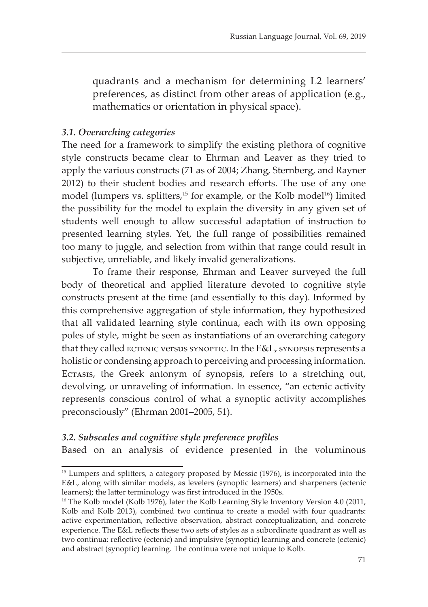quadrants and a mechanism for determining L2 learners' preferences, as distinct from other areas of application (e.g., mathematics or orientation in physical space).

## *3.1. Overarching categories*

The need for a framework to simplify the existing plethora of cognitive style constructs became clear to Ehrman and Leaver as they tried to apply the various constructs (71 as of 2004; Zhang, Sternberg, and Rayner 2012) to their student bodies and research efforts. The use of any one model (lumpers vs. splitters,<sup>15</sup> for example, or the Kolb model<sup>16</sup>) limited the possibility for the model to explain the diversity in any given set of students well enough to allow successful adaptation of instruction to presented learning styles. Yet, the full range of possibilities remained too many to juggle, and selection from within that range could result in subjective, unreliable, and likely invalid generalizations.

To frame their response, Ehrman and Leaver surveyed the full body of theoretical and applied literature devoted to cognitive style constructs present at the time (and essentially to this day). Informed by this comprehensive aggregation of style information, they hypothesized that all validated learning style continua, each with its own opposing poles of style, might be seen as instantiations of an overarching category that they called ECTENIC versus SYNOPTIC. In the E&L, SYNOPSIS represents a holistic or condensing approach to perceiving and processing information. Ectasis, the Greek antonym of synopsis, refers to a stretching out, devolving, or unraveling of information. In essence, "an ectenic activity represents conscious control of what a synoptic activity accomplishes preconsciously" (Ehrman 2001–2005, 51).

## *3.2. Subscales and cognitive style preference profiles*

Based on an analysis of evidence presented in the voluminous

<sup>&</sup>lt;sup>15</sup> Lumpers and splitters, a category proposed by Messic (1976), is incorporated into the E&L, along with similar models, as levelers (synoptic learners) and sharpeners (ectenic learners); the latter terminology was first introduced in the 1950s.

<sup>&</sup>lt;sup>16</sup> The Kolb model (Kolb 1976), later the Kolb Learning Style Inventory Version 4.0 (2011, Kolb and Kolb 2013), combined two continua to create a model with four quadrants: active experimentation, reflective observation, abstract conceptualization, and concrete experience. The E&L reflects these two sets of styles as a subordinate quadrant as well as two continua: reflective (ectenic) and impulsive (synoptic) learning and concrete (ectenic) and abstract (synoptic) learning. The continua were not unique to Kolb.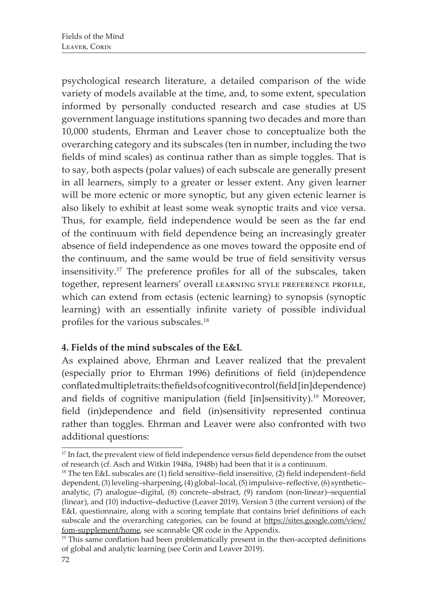psychological research literature, a detailed comparison of the wide variety of models available at the time, and, to some extent, speculation informed by personally conducted research and case studies at US government language institutions spanning two decades and more than 10,000 students, Ehrman and Leaver chose to conceptualize both the overarching category and its subscales (ten in number, including the two fields of mind scales) as continua rather than as simple toggles. That is to say, both aspects (polar values) of each subscale are generally present in all learners, simply to a greater or lesser extent. Any given learner will be more ectenic or more synoptic, but any given ectenic learner is also likely to exhibit at least some weak synoptic traits and vice versa. Thus, for example, field independence would be seen as the far end of the continuum with field dependence being an increasingly greater absence of field independence as one moves toward the opposite end of the continuum, and the same would be true of field sensitivity versus insensitivity.17 The preference profiles for all of the subscales, taken together, represent learners' overall LEARNING STYLE PREFERENCE PROFILE, which can extend from ectasis (ectenic learning) to synopsis (synoptic learning) with an essentially infinite variety of possible individual profiles for the various subscales.<sup>18</sup>

# **4. Fields of the mind subscales of the E&L**

As explained above, Ehrman and Leaver realized that the prevalent (especially prior to Ehrman 1996) definitions of field (in)dependence conflated multiple traits: the fields of cognitive control (field [in]dependence) and fields of cognitive manipulation (field [in]sensitivity).19 Moreover, field (in)dependence and field (in)sensitivity represented continua rather than toggles. Ehrman and Leaver were also confronted with two additional questions:

<sup>&</sup>lt;sup>17</sup> In fact, the prevalent view of field independence versus field dependence from the outset of research (cf. Asch and Witkin 1948a, 1948b) had been that it is a continuum.

<sup>18</sup> The ten E&L subscales are (1) field sensitive–field insensitive, (2) field independent–field dependent, (3) leveling–sharpening, (4) global–local, (5) impulsive–reflective, (6) synthetic– analytic, (7) analogue–digital, (8) concrete–abstract, (9) random (non-linear)–sequential (linear), and (10) inductive–deductive (Leaver 2019). Version 3 (the current version) of the E&L questionnaire, along with a scoring template that contains brief definitions of each subscale and the overarching categories, can be found at https://sites.google.com/view/ fom-supplement/home, see scannable QR code in the Appendix.

 $19$  This same conflation had been problematically present in the then-accepted definitions of global and analytic learning (see Corin and Leaver 2019).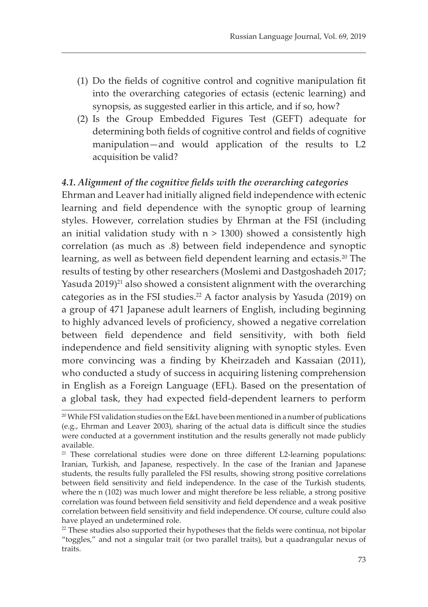- (1) Do the fields of cognitive control and cognitive manipulation fit into the overarching categories of ectasis (ectenic learning) and synopsis, as suggested earlier in this article, and if so, how?
- (2) Is the Group Embedded Figures Test (GEFT) adequate for determining both fields of cognitive control and fields of cognitive manipulation—and would application of the results to L2 acquisition be valid?

## *4.1. Alignment of the cognitive fields with the overarching categories*

Ehrman and Leaver had initially aligned field independence with ectenic learning and field dependence with the synoptic group of learning styles. However, correlation studies by Ehrman at the FSI (including an initial validation study with  $n > 1300$ ) showed a consistently high correlation (as much as .8) between field independence and synoptic learning, as well as between field dependent learning and ectasis.<sup>20</sup> The results of testing by other researchers (Moslemi and Dastgoshadeh 2017; Yasuda  $2019)^{21}$  also showed a consistent alignment with the overarching categories as in the FSI studies.<sup>22</sup> A factor analysis by Yasuda (2019) on a group of 471 Japanese adult learners of English, including beginning to highly advanced levels of proficiency, showed a negative correlation between field dependence and field sensitivity, with both field independence and field sensitivity aligning with synoptic styles. Even more convincing was a finding by Kheirzadeh and Kassaian (2011), who conducted a study of success in acquiring listening comprehension in English as a Foreign Language (EFL). Based on the presentation of a global task, they had expected field-dependent learners to perform

<sup>20</sup> While FSI validation studies on the E&L have been mentioned in a number of publications (e.g., Ehrman and Leaver 2003), sharing of the actual data is difficult since the studies were conducted at a government institution and the results generally not made publicly available.

<sup>&</sup>lt;sup>21</sup> These correlational studies were done on three different L2-learning populations: Iranian, Turkish, and Japanese, respectively. In the case of the Iranian and Japanese students, the results fully paralleled the FSI results, showing strong positive correlations between field sensitivity and field independence. In the case of the Turkish students, where the n (102) was much lower and might therefore be less reliable, a strong positive correlation was found between field sensitivity and field dependence and a weak positive correlation between field sensitivity and field independence. Of course, culture could also have played an undetermined role.

 $22$  These studies also supported their hypotheses that the fields were continua, not bipolar "toggles," and not a singular trait (or two parallel traits), but a quadrangular nexus of traits.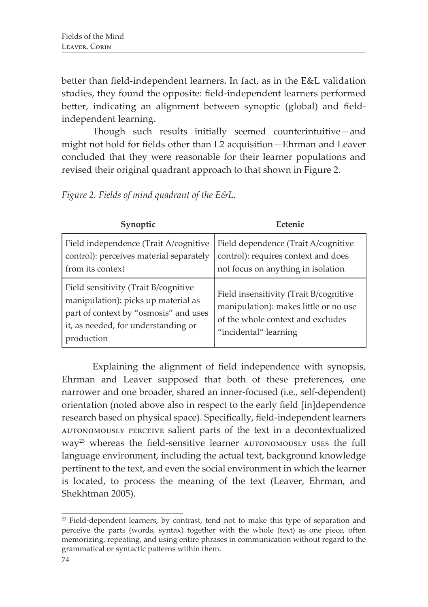better than field-independent learners. In fact, as in the E&L validation studies, they found the opposite: field-independent learners performed better, indicating an alignment between synoptic (global) and fieldindependent learning.

Though such results initially seemed counterintuitive—and might not hold for fields other than L2 acquisition—Ehrman and Leaver concluded that they were reasonable for their learner populations and revised their original quadrant approach to that shown in Figure 2.

| Figure 2. Fields of mind quadrant of the E&L. |  |  |  |
|-----------------------------------------------|--|--|--|
|-----------------------------------------------|--|--|--|

| Synoptic                                                                                                                                                                  | Ectenic                                                                                                                                       |  |
|---------------------------------------------------------------------------------------------------------------------------------------------------------------------------|-----------------------------------------------------------------------------------------------------------------------------------------------|--|
| Field independence (Trait A/cognitive<br>control): perceives material separately<br>from its context                                                                      | Field dependence (Trait A/cognitive<br>control): requires context and does<br>not focus on anything in isolation                              |  |
| Field sensitivity (Trait B/cognitive<br>manipulation): picks up material as<br>part of context by "osmosis" and uses<br>it, as needed, for understanding or<br>production | Field insensitivity (Trait B/cognitive<br>manipulation): makes little or no use<br>of the whole context and excludes<br>"incidental" learning |  |

Explaining the alignment of field independence with synopsis, Ehrman and Leaver supposed that both of these preferences, one narrower and one broader, shared an inner-focused (i.e., self-dependent) orientation (noted above also in respect to the early field [in]dependence research based on physical space). Specifically, field-independent learners autonomously perceive salient parts of the text in a decontextualized way<sup>23</sup> whereas the field-sensitive learner AUTONOMOUSLY USES the full language environment, including the actual text, background knowledge pertinent to the text, and even the social environment in which the learner is located, to process the meaning of the text (Leaver, Ehrman, and Shekhtman 2005).

<sup>&</sup>lt;sup>23</sup> Field-dependent learners, by contrast, tend not to make this type of separation and perceive the parts (words, syntax) together with the whole (text) as one piece, often memorizing, repeating, and using entire phrases in communication without regard to the grammatical or syntactic patterns within them.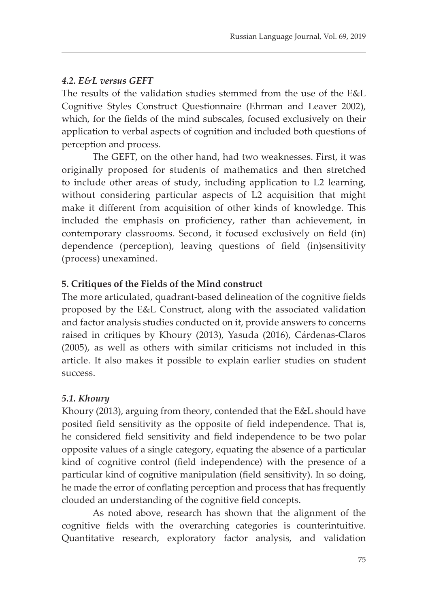# *4.2. E&L versus GEFT*

The results of the validation studies stemmed from the use of the E&L Cognitive Styles Construct Questionnaire (Ehrman and Leaver 2002), which, for the fields of the mind subscales, focused exclusively on their application to verbal aspects of cognition and included both questions of perception and process.

The GEFT, on the other hand, had two weaknesses. First, it was originally proposed for students of mathematics and then stretched to include other areas of study, including application to L2 learning, without considering particular aspects of L2 acquisition that might make it different from acquisition of other kinds of knowledge. This included the emphasis on proficiency, rather than achievement, in contemporary classrooms. Second, it focused exclusively on field (in) dependence (perception), leaving questions of field (in)sensitivity (process) unexamined.

# **5. Critiques of the Fields of the Mind construct**

The more articulated, quadrant-based delineation of the cognitive fields proposed by the E&L Construct, along with the associated validation and factor analysis studies conducted on it, provide answers to concerns raised in critiques by Khoury (2013), Yasuda (2016), Cárdenas-Claros (2005), as well as others with similar criticisms not included in this article. It also makes it possible to explain earlier studies on student success.

## *5.1. Khoury*

Khoury (2013), arguing from theory, contended that the E&L should have posited field sensitivity as the opposite of field independence. That is, he considered field sensitivity and field independence to be two polar opposite values of a single category, equating the absence of a particular kind of cognitive control (field independence) with the presence of a particular kind of cognitive manipulation (field sensitivity). In so doing, he made the error of conflating perception and process that has frequently clouded an understanding of the cognitive field concepts.

As noted above, research has shown that the alignment of the cognitive fields with the overarching categories is counterintuitive. Quantitative research, exploratory factor analysis, and validation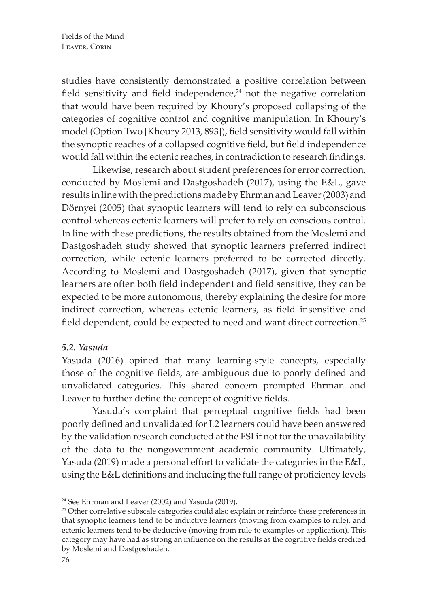studies have consistently demonstrated a positive correlation between field sensitivity and field independence, $24$  not the negative correlation that would have been required by Khoury's proposed collapsing of the categories of cognitive control and cognitive manipulation. In Khoury's model (Option Two [Khoury 2013, 893]), field sensitivity would fall within the synoptic reaches of a collapsed cognitive field, but field independence would fall within the ectenic reaches, in contradiction to research findings.

Likewise, research about student preferences for error correction, conducted by Moslemi and Dastgoshadeh (2017), using the E&L, gave results in line with the predictions made by Ehrman and Leaver (2003) and Dörnyei (2005) that synoptic learners will tend to rely on subconscious control whereas ectenic learners will prefer to rely on conscious control. In line with these predictions, the results obtained from the Moslemi and Dastgoshadeh study showed that synoptic learners preferred indirect correction, while ectenic learners preferred to be corrected directly. According to Moslemi and Dastgoshadeh (2017), given that synoptic learners are often both field independent and field sensitive, they can be expected to be more autonomous, thereby explaining the desire for more indirect correction, whereas ectenic learners, as field insensitive and field dependent, could be expected to need and want direct correction.25

## *5.2. Yasuda*

Yasuda (2016) opined that many learning-style concepts, especially those of the cognitive fields, are ambiguous due to poorly defined and unvalidated categories. This shared concern prompted Ehrman and Leaver to further define the concept of cognitive fields.

Yasuda's complaint that perceptual cognitive fields had been poorly defined and unvalidated for L2 learners could have been answered by the validation research conducted at the FSI if not for the unavailability of the data to the nongovernment academic community. Ultimately, Yasuda (2019) made a personal effort to validate the categories in the E&L, using the E&L definitions and including the full range of proficiency levels

<sup>24</sup> See Ehrman and Leaver (2002) and Yasuda (2019).

<sup>&</sup>lt;sup>25</sup> Other correlative subscale categories could also explain or reinforce these preferences in that synoptic learners tend to be inductive learners (moving from examples to rule), and ectenic learners tend to be deductive (moving from rule to examples or application). This category may have had as strong an influence on the results as the cognitive fields credited by Moslemi and Dastgoshadeh.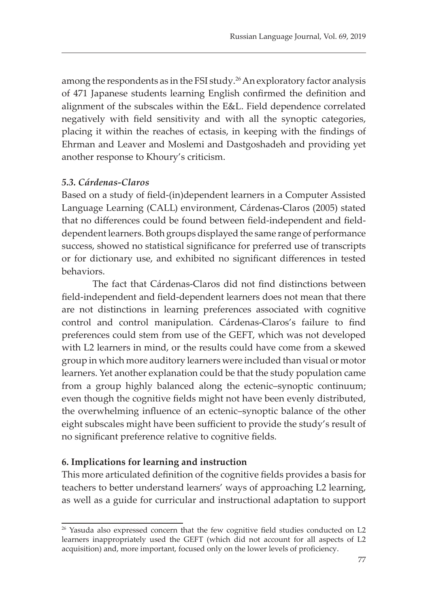among the respondents as in the FSI study.<sup>26</sup> An exploratory factor analysis of 471 Japanese students learning English confirmed the definition and alignment of the subscales within the E&L. Field dependence correlated negatively with field sensitivity and with all the synoptic categories, placing it within the reaches of ectasis, in keeping with the findings of Ehrman and Leaver and Moslemi and Dastgoshadeh and providing yet another response to Khoury's criticism.

## *5.3. Cárdenas-Claros*

Based on a study of field-(in)dependent learners in a Computer Assisted Language Learning (CALL) environment, Cárdenas-Claros (2005) stated that no differences could be found between field-independent and fielddependent learners. Both groups displayed the same range of performance success, showed no statistical significance for preferred use of transcripts or for dictionary use, and exhibited no significant differences in tested behaviors.

The fact that Cárdenas-Claros did not find distinctions between field-independent and field-dependent learners does not mean that there are not distinctions in learning preferences associated with cognitive control and control manipulation. Cárdenas-Claros's failure to find preferences could stem from use of the GEFT, which was not developed with L2 learners in mind, or the results could have come from a skewed group in which more auditory learners were included than visual or motor learners. Yet another explanation could be that the study population came from a group highly balanced along the ectenic–synoptic continuum; even though the cognitive fields might not have been evenly distributed, the overwhelming influence of an ectenic–synoptic balance of the other eight subscales might have been sufficient to provide the study's result of no significant preference relative to cognitive fields.

## **6. Implications for learning and instruction**

This more articulated definition of the cognitive fields provides a basis for teachers to better understand learners' ways of approaching L2 learning, as well as a guide for curricular and instructional adaptation to support

<sup>&</sup>lt;sup>26</sup> Yasuda also expressed concern that the few cognitive field studies conducted on L2 learners inappropriately used the GEFT (which did not account for all aspects of L2 acquisition) and, more important, focused only on the lower levels of proficiency.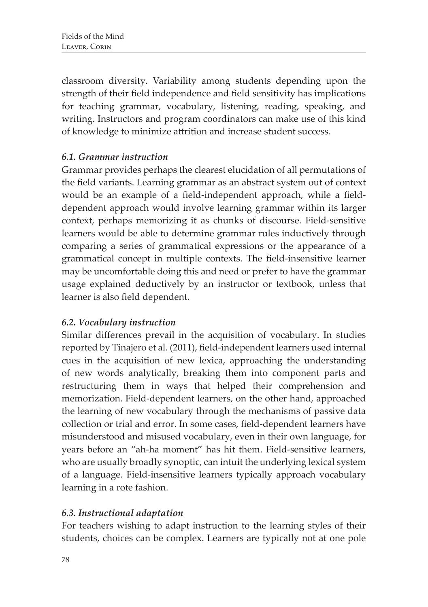classroom diversity. Variability among students depending upon the strength of their field independence and field sensitivity has implications for teaching grammar, vocabulary, listening, reading, speaking, and writing. Instructors and program coordinators can make use of this kind of knowledge to minimize attrition and increase student success.

# *6.1. Grammar instruction*

Grammar provides perhaps the clearest elucidation of all permutations of the field variants. Learning grammar as an abstract system out of context would be an example of a field-independent approach, while a fielddependent approach would involve learning grammar within its larger context, perhaps memorizing it as chunks of discourse. Field-sensitive learners would be able to determine grammar rules inductively through comparing a series of grammatical expressions or the appearance of a grammatical concept in multiple contexts. The field-insensitive learner may be uncomfortable doing this and need or prefer to have the grammar usage explained deductively by an instructor or textbook, unless that learner is also field dependent.

## *6.2. Vocabulary instruction*

Similar differences prevail in the acquisition of vocabulary. In studies reported by Tinajero et al. (2011), field-independent learners used internal cues in the acquisition of new lexica, approaching the understanding of new words analytically, breaking them into component parts and restructuring them in ways that helped their comprehension and memorization. Field-dependent learners, on the other hand, approached the learning of new vocabulary through the mechanisms of passive data collection or trial and error. In some cases, field-dependent learners have misunderstood and misused vocabulary, even in their own language, for years before an "ah-ha moment" has hit them. Field-sensitive learners, who are usually broadly synoptic, can intuit the underlying lexical system of a language. Field-insensitive learners typically approach vocabulary learning in a rote fashion.

# *6.3. Instructional adaptation*

For teachers wishing to adapt instruction to the learning styles of their students, choices can be complex. Learners are typically not at one pole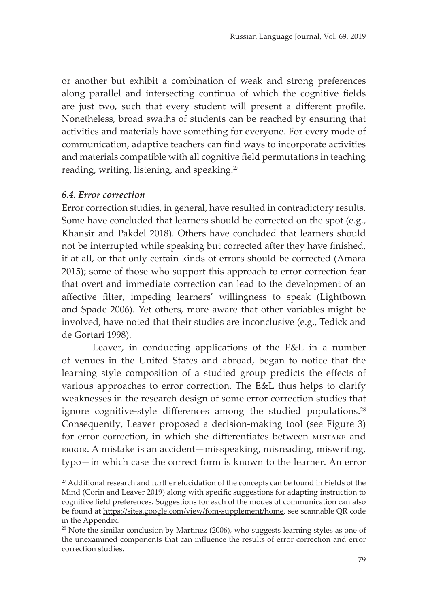or another but exhibit a combination of weak and strong preferences along parallel and intersecting continua of which the cognitive fields are just two, such that every student will present a different profile. Nonetheless, broad swaths of students can be reached by ensuring that activities and materials have something for everyone. For every mode of communication, adaptive teachers can find ways to incorporate activities and materials compatible with all cognitive field permutations in teaching reading, writing, listening, and speaking.27

#### *6.4. Error correction*

Error correction studies, in general, have resulted in contradictory results. Some have concluded that learners should be corrected on the spot (e.g., Khansir and Pakdel 2018). Others have concluded that learners should not be interrupted while speaking but corrected after they have finished, if at all, or that only certain kinds of errors should be corrected (Amara 2015); some of those who support this approach to error correction fear that overt and immediate correction can lead to the development of an affective filter, impeding learners' willingness to speak (Lightbown and Spade 2006). Yet others, more aware that other variables might be involved, have noted that their studies are inconclusive (e.g., Tedick and de Gortari 1998).

Leaver, in conducting applications of the E&L in a number of venues in the United States and abroad, began to notice that the learning style composition of a studied group predicts the effects of various approaches to error correction. The E&L thus helps to clarify weaknesses in the research design of some error correction studies that ignore cognitive-style differences among the studied populations.<sup>28</sup> Consequently, Leaver proposed a decision-making tool (see Figure 3) for error correction, in which she differentiates between mistake and error. A mistake is an accident—misspeaking, misreading, miswriting, typo—in which case the correct form is known to the learner. An error

<sup>&</sup>lt;sup>27</sup> Additional research and further elucidation of the concepts can be found in Fields of the Mind (Corin and Leaver 2019) along with specific suggestions for adapting instruction to cognitive field preferences. Suggestions for each of the modes of communication can also be found at https://sites.google.com/view/fom-supplement/home, see scannable QR code in the Appendix.

<sup>&</sup>lt;sup>28</sup> Note the similar conclusion by Martinez (2006), who suggests learning styles as one of the unexamined components that can influence the results of error correction and error correction studies.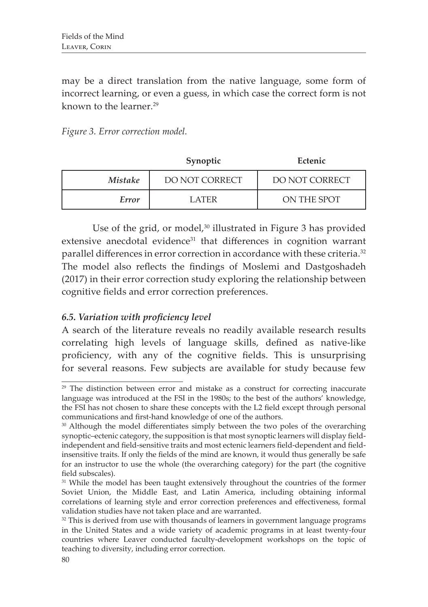may be a direct translation from the native language, some form of incorrect learning, or even a guess, in which case the correct form is not known to the learner.<sup>29</sup>

|                | Synoptic       | Ectenic        |
|----------------|----------------|----------------|
| <i>Mistake</i> | DO NOT CORRECT | DO NOT CORRECT |
| Error          | L ATER-        | ON THE SPOT    |

Use of the grid, or model,<sup>30</sup> illustrated in Figure 3 has provided extensive anecdotal evidence<sup>31</sup> that differences in cognition warrant parallel differences in error correction in accordance with these criteria.<sup>32</sup> The model also reflects the findings of Moslemi and Dastgoshadeh (2017) in their error correction study exploring the relationship between cognitive fields and error correction preferences.

# *6.5. Variation with proficiency level*

A search of the literature reveals no readily available research results correlating high levels of language skills, defined as native-like proficiency, with any of the cognitive fields. This is unsurprising for several reasons. Few subjects are available for study because few

<sup>&</sup>lt;sup>29</sup> The distinction between error and mistake as a construct for correcting inaccurate language was introduced at the FSI in the 1980s; to the best of the authors' knowledge, the FSI has not chosen to share these concepts with the L2 field except through personal communications and first-hand knowledge of one of the authors.

<sup>&</sup>lt;sup>30</sup> Although the model differentiates simply between the two poles of the overarching synoptic–ectenic category, the supposition is that most synoptic learners will display fieldindependent and field-sensitive traits and most ectenic learners field-dependent and fieldinsensitive traits. If only the fields of the mind are known, it would thus generally be safe for an instructor to use the whole (the overarching category) for the part (the cognitive field subscales).

<sup>&</sup>lt;sup>31</sup> While the model has been taught extensively throughout the countries of the former Soviet Union, the Middle East, and Latin America, including obtaining informal correlations of learning style and error correction preferences and effectiveness, formal validation studies have not taken place and are warranted.

<sup>&</sup>lt;sup>32</sup> This is derived from use with thousands of learners in government language programs in the United States and a wide variety of academic programs in at least twenty-four countries where Leaver conducted faculty-development workshops on the topic of teaching to diversity, including error correction.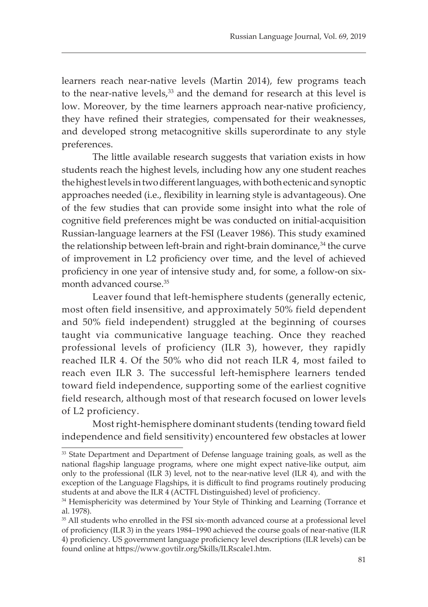learners reach near-native levels (Martin 2014), few programs teach to the near-native levels,<sup>33</sup> and the demand for research at this level is low. Moreover, by the time learners approach near-native proficiency, they have refined their strategies, compensated for their weaknesses, and developed strong metacognitive skills superordinate to any style preferences.

The little available research suggests that variation exists in how students reach the highest levels, including how any one student reaches the highest levels in two different languages, with both ectenic and synoptic approaches needed (i.e., flexibility in learning style is advantageous). One of the few studies that can provide some insight into what the role of cognitive field preferences might be was conducted on initial-acquisition Russian-language learners at the FSI (Leaver 1986). This study examined the relationship between left-brain and right-brain dominance, $34$  the curve of improvement in L2 proficiency over time, and the level of achieved proficiency in one year of intensive study and, for some, a follow-on sixmonth advanced course.<sup>35</sup>

Leaver found that left-hemisphere students (generally ectenic, most often field insensitive, and approximately 50% field dependent and 50% field independent) struggled at the beginning of courses taught via communicative language teaching. Once they reached professional levels of proficiency (ILR 3), however, they rapidly reached ILR 4. Of the 50% who did not reach ILR 4, most failed to reach even ILR 3. The successful left-hemisphere learners tended toward field independence, supporting some of the earliest cognitive field research, although most of that research focused on lower levels of L2 proficiency.

Most right-hemisphere dominant students (tending toward field independence and field sensitivity) encountered few obstacles at lower

<sup>&</sup>lt;sup>33</sup> State Department and Department of Defense language training goals, as well as the national flagship language programs, where one might expect native-like output, aim only to the professional (ILR 3) level, not to the near-native level (ILR 4), and with the exception of the Language Flagships, it is difficult to find programs routinely producing students at and above the ILR 4 (ACTFL Distinguished) level of proficiency.

<sup>&</sup>lt;sup>34</sup> Hemisphericity was determined by Your Style of Thinking and Learning (Torrance et al. 1978).

<sup>&</sup>lt;sup>35</sup> All students who enrolled in the FSI six-month advanced course at a professional level of proficiency (ILR 3) in the years 1984–1990 achieved the course goals of near-native (ILR 4) proficiency. US government language proficiency level descriptions (ILR levels) can be found online at https://www.govtilr.org/Skills/ILRscale1.htm.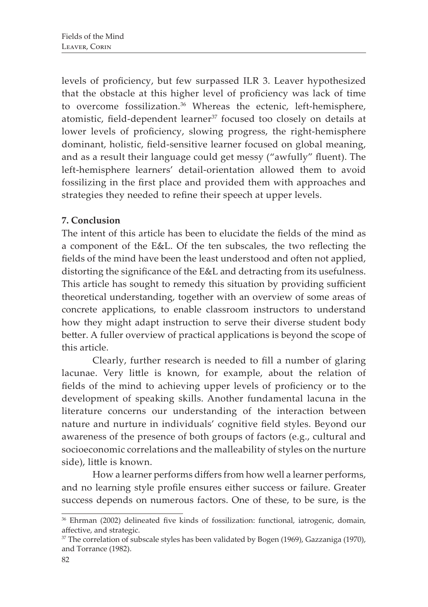levels of proficiency, but few surpassed ILR 3. Leaver hypothesized that the obstacle at this higher level of proficiency was lack of time to overcome fossilization.36 Whereas the ectenic, left-hemisphere, atomistic, field-dependent learner<sup>37</sup> focused too closely on details at lower levels of proficiency, slowing progress, the right-hemisphere dominant, holistic, field-sensitive learner focused on global meaning, and as a result their language could get messy ("awfully" fluent). The left-hemisphere learners' detail-orientation allowed them to avoid fossilizing in the first place and provided them with approaches and strategies they needed to refine their speech at upper levels.

# **7. Conclusion**

The intent of this article has been to elucidate the fields of the mind as a component of the E&L. Of the ten subscales, the two reflecting the fields of the mind have been the least understood and often not applied, distorting the significance of the E&L and detracting from its usefulness. This article has sought to remedy this situation by providing sufficient theoretical understanding, together with an overview of some areas of concrete applications, to enable classroom instructors to understand how they might adapt instruction to serve their diverse student body better. A fuller overview of practical applications is beyond the scope of this article.

Clearly, further research is needed to fill a number of glaring lacunae. Very little is known, for example, about the relation of fields of the mind to achieving upper levels of proficiency or to the development of speaking skills. Another fundamental lacuna in the literature concerns our understanding of the interaction between nature and nurture in individuals' cognitive field styles. Beyond our awareness of the presence of both groups of factors (e.g., cultural and socioeconomic correlations and the malleability of styles on the nurture side), little is known.

How a learner performs differs from how well a learner performs, and no learning style profile ensures either success or failure. Greater success depends on numerous factors. One of these, to be sure, is the

<sup>&</sup>lt;sup>36</sup> Ehrman (2002) delineated five kinds of fossilization: functional, iatrogenic, domain, affective, and strategic.

<sup>&</sup>lt;sup>37</sup> The correlation of subscale styles has been validated by Bogen (1969), Gazzaniga (1970), and Torrance (1982).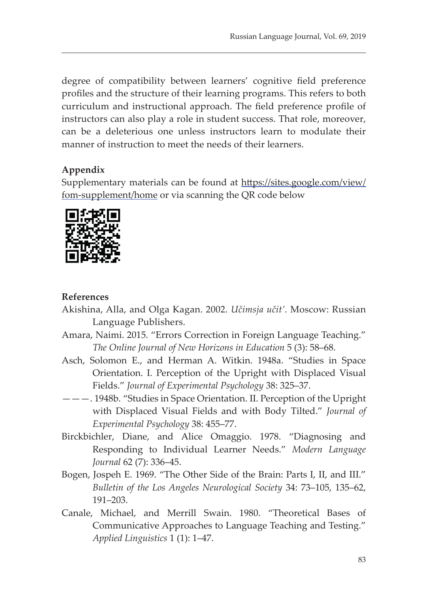degree of compatibility between learners' cognitive field preference profiles and the structure of their learning programs. This refers to both curriculum and instructional approach. The field preference profile of instructors can also play a role in student success. That role, moreover, can be a deleterious one unless instructors learn to modulate their manner of instruction to meet the needs of their learners.

# **Appendix**

Supplementary materials can be found at https://sites.google.com/view/ fom-supplement/home or via scanning the QR code below



## **References**

- Akishina, Alla, and Olga Kagan. 2002. *Učimsja učit'*. Moscow: Russian Language Publishers.
- Amara, Naimi. 2015. "Errors Correction in Foreign Language Teaching." *The Online Journal of New Horizons in Education* 5 (3): 58–68.
- Asch, Solomon E., and Herman A. Witkin. 1948a. "Studies in Space Orientation. I. Perception of the Upright with Displaced Visual Fields." *Journal of Experimental Psychology* 38: 325–37.
- ———. 1948b. "Studies in Space Orientation. II. Perception of the Upright with Displaced Visual Fields and with Body Tilted." *Journal of Experimental Psychology* 38: 455–77.
- Birckbichler, Diane, and Alice Omaggio. 1978. "Diagnosing and Responding to Individual Learner Needs." *Modern Language Journal* 62 (7): 336–45.
- Bogen, Jospeh E. 1969. "The Other Side of the Brain: Parts I, II, and III." *Bulletin of the Los Angeles Neurological Society* 34: 73–105, 135–62, 191–203.
- Canale, Michael, and Merrill Swain. 1980. "Theoretical Bases of Communicative Approaches to Language Teaching and Testing." *Applied Linguistics* 1 (1): 1–47.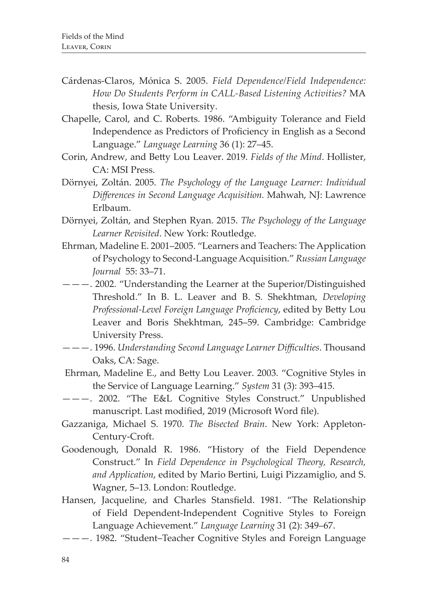- Cárdenas-Claros, Mónica S. 2005. *Field Dependence/Field Independence: How Do Students Perform in CALL-Based Listening Activities?* MA thesis, Iowa State University.
- Chapelle, Carol, and C. Roberts. 1986. "Ambiguity Tolerance and Field Independence as Predictors of Proficiency in English as a Second Language." *Language Learning* 36 (1): 27–45.
- Corin, Andrew, and Betty Lou Leaver. 2019. *Fields of the Mind*. Hollister, CA: MSI Press.
- Dörnyei, Zoltán. 2005. *The Psychology of the Language Learner: Individual Differences in Second Language Acquisition.* Mahwah, NJ: Lawrence Erlbaum.
- Dörnyei, Zoltán, and Stephen Ryan. 2015. *The Psychology of the Language Learner Revisited*. New York: Routledge.
- Ehrman, Madeline E. 2001–2005. "Learners and Teachers: The Application of Psychology to Second-Language Acquisition." *Russian Language Journal* 55: 33–71.
- ———. 2002. "Understanding the Learner at the Superior/Distinguished Threshold." In B. L. Leaver and B. S. Shekhtman, *Developing Professional-Level Foreign Language Proficiency*, edited by Betty Lou Leaver and Boris Shekhtman, 245–59. Cambridge: Cambridge University Press.
- ———. 1996. *Understanding Second Language Learner Difficulties*. Thousand Oaks, CA: Sage.
- Ehrman, Madeline E., and Betty Lou Leaver. 2003. "Cognitive Styles in the Service of Language Learning." *System* 31 (3): 393–415.
- ———. 2002. "The E&L Cognitive Styles Construct." Unpublished manuscript. Last modified, 2019 (Microsoft Word file).
- Gazzaniga, Michael S. 1970. *The Bisected Brain*. New York: Appleton-Century-Croft.
- Goodenough, Donald R. 1986. "History of the Field Dependence Construct." In *Field Dependence in Psychological Theory, Research, and Application*, edited by Mario Bertini, Luigi Pizzamiglio, and S. Wagner, 5–13. London: Routledge.
- Hansen, Jacqueline, and Charles Stansfield. 1981. "The Relationship of Field Dependent-Independent Cognitive Styles to Foreign Language Achievement." *Language Learning* 31 (2): 349–67.
- ———. 1982. "Student–Teacher Cognitive Styles and Foreign Language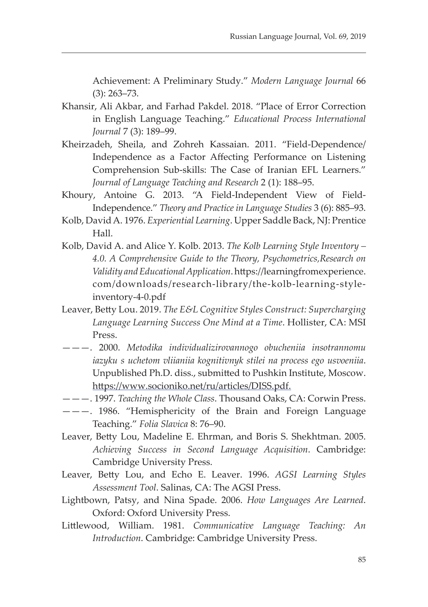Achievement: A Preliminary Study." *Modern Language Journal* 66 (3): 263–73.

- Khansir, Ali Akbar, and Farhad Pakdel. 2018. "Place of Error Correction in English Language Teaching." *Educational Process International Journal* 7 (3): 189–99.
- Kheirzadeh, Sheila, and Zohreh Kassaian. 2011. "Field-Dependence/ Independence as a Factor Affecting Performance on Listening Comprehension Sub-skills: The Case of Iranian EFL Learners." *Journal of Language Teaching and Research* 2 (1): 188–95.
- Khoury, Antoine G. 2013. "A Field-Independent View of Field-Independence." *Theory and Practice in Language Studies* 3 (6): 885–93.
- Kolb, David A. 1976. *Experiential Learning*. Upper Saddle Back, NJ: Prentice Hall.
- Kolb, David A. and Alice Y. Kolb. 2013. *The Kolb Learning Style Inventory 4.0. A Comprehensive Guide to the Theory, Psychometrics,Research on Validity and Educational Application*. https://learningfromexperience. com/downloads/research-library/the-kolb-learning-styleinventory-4-0.pdf
- Leaver, Betty Lou. 2019. *The E&L Cognitive Styles Construct: Supercharging Language Learning Success One Mind at a Time*. Hollister, CA: MSI Press.
- ———. 2000. *Metodika individualizirovannogo obucheniia insotrannomu iazyku s uchetom vliianiia kognitivnyk stilei na process ego usvoeniia*. Unpublished Ph.D. diss., submitted to Pushkin Institute, Moscow. https://www.socioniko.net/ru/articles/DISS.pdf.
- ———. 1997. *Teaching the Whole Class*. Thousand Oaks, CA: Corwin Press.
- ———. 1986. "Hemisphericity of the Brain and Foreign Language Teaching." *Folia Slavica* 8: 76–90.
- Leaver, Betty Lou, Madeline E. Ehrman, and Boris S. Shekhtman. 2005. *Achieving Success in Second Language Acquisition*. Cambridge: Cambridge University Press.
- Leaver, Betty Lou, and Echo E. Leaver. 1996. *AGSI Learning Styles Assessment Tool*. Salinas, CA: The AGSI Press.
- Lightbown, Patsy, and Nina Spade. 2006. *How Languages Are Learned*. Oxford: Oxford University Press.
- Littlewood, William. 1981. *Communicative Language Teaching: An Introduction*. Cambridge: Cambridge University Press.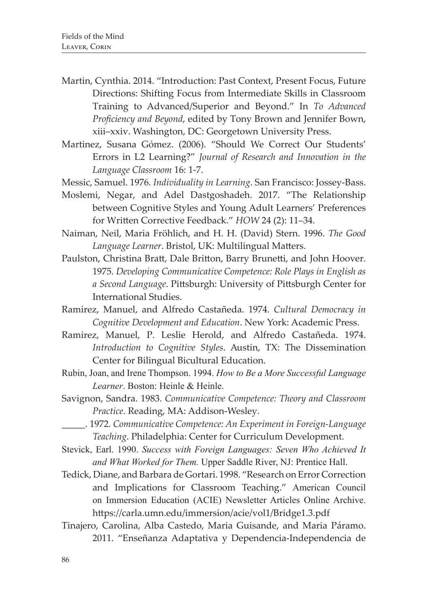- Martin, Cynthia. 2014. "Introduction: Past Context, Present Focus, Future Directions: Shifting Focus from Intermediate Skills in Classroom Training to Advanced/Superior and Beyond." In *To Advanced Proficiency and Beyond*, edited by Tony Brown and Jennifer Bown, xiii–xxiv. Washington, DC: Georgetown University Press.
- Martinez, Susana Gómez. (2006). "Should We Correct Our Students' Errors in L2 Learning?" *Journal of Research and Innovation in the Language Classroom* 16: 1-7.
- Messic, Samuel. 1976. *Individuality in Learning*. San Francisco: Jossey-Bass.
- Moslemi, Negar, and Adel Dastgoshadeh. 2017. "The Relationship between Cognitive Styles and Young Adult Learners' Preferences for Written Corrective Feedback." *HOW* 24 (2): 11–34.
- Naiman, Neil, Maria Fröhlich, and H. H. (David) Stern. 1996. *The Good Language Learner*. Bristol, UK: Multilingual Matters.
- Paulston, Christina Bratt, Dale Britton, Barry Brunetti, and John Hoover. 1975. *Developing Communicative Competence: Role Plays in English as a Second Language*. Pittsburgh: University of Pittsburgh Center for International Studies.
- Ramirez, Manuel, and Alfredo Castañeda. 1974. *Cultural Democracy in Cognitive Development and Education*. New York: Academic Press.
- Ramirez, Manuel, P. Leslie Herold, and Alfredo Castañeda. 1974. *Introduction to Cognitive Styles*. Austin, TX: The Dissemination Center for Bilingual Bicultural Education.
- Rubin, Joan, and Irene Thompson. 1994. *How to Be a More Successful Language Learner*. Boston: Heinle & Heinle.
- Savignon, Sandra. 1983. *Communicative Competence: Theory and Classroom Practice*. Reading, MA: Addison-Wesley.
	- \_\_\_\_\_. 1972. *Communicative Competence: An Experiment in Foreign-Language Teaching*. Philadelphia: Center for Curriculum Development.
- Stevick, Earl. 1990. *Success with Foreign Languages: Seven Who Achieved It and What Worked for Them.* Upper Saddle River, NJ: Prentice Hall.
- Tedick, Diane, and Barbara de Gortari. 1998. "Research on Error Correction and Implications for Classroom Teaching." American Council on Immersion Education (ACIE) Newsletter Articles Online Archive. https://carla.umn.edu/immersion/acie/vol1/Bridge1.3.pdf
- Tinajero, Carolina, Alba Castedo, Maria Guisande, and Maria Páramo. 2011. "Enseñanza Adaptativa y Dependencia-Independencia de